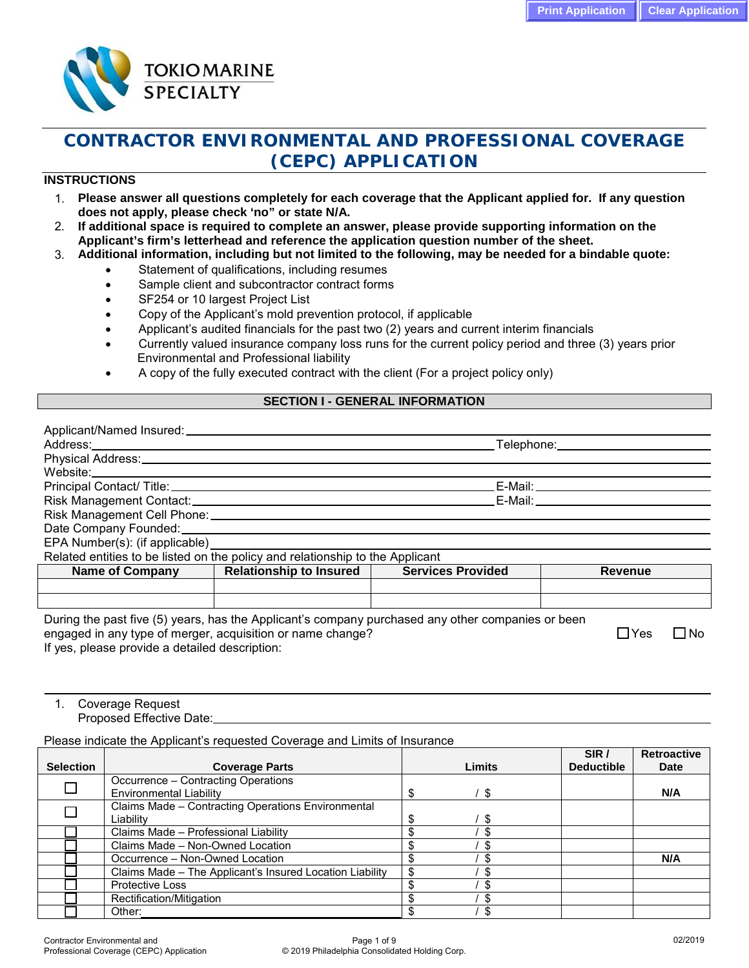

# **CONTRACTOR ENVIRONMENTAL AND PROFESSIONAL COVERAGE (CEPC) APPLICATION**

## **INSTRUCTIONS**

- 1. **Please answer all questions completely for each coverage that the Applicant applied for. If any question does not apply, please check 'no" or state N/A.**
- 2. **If additional space is required to complete an answer, please provide supporting information on the Applicant's firm's letterhead and reference the application question number of the sheet.**
- 3. **Additional information, including but not limited to the following, may be needed for a bindable quote:**
	- Statement of qualifications, including resumes
	- Sample client and subcontractor contract forms
	- SF254 or 10 largest Project List
	- Copy of the Applicant's mold prevention protocol, if applicable
	- Applicant's audited financials for the past two (2) years and current interim financials
	- Currently valued insurance company loss runs for the current policy period and three (3) years prior Environmental and Professional liability
	- A copy of the fully executed contract with the client (For a project policy only)

## **SECTION I - GENERAL INFORMATION**

|                                                                                                                |                                |                          | Telephone: Telephone:    |
|----------------------------------------------------------------------------------------------------------------|--------------------------------|--------------------------|--------------------------|
| Physical Address: Universe Physical Address:                                                                   |                                |                          |                          |
|                                                                                                                |                                |                          |                          |
| Principal Contact/ Title: 2008 2014 2022 2023 2024 2024 2022 2023 2024 2022 2023 2024 2022 2023 2024 2022 2023 |                                |                          | E-Mail: ________________ |
|                                                                                                                |                                |                          |                          |
|                                                                                                                |                                |                          |                          |
|                                                                                                                |                                |                          |                          |
| EPA Number(s): (if applicable) _______________________                                                         |                                |                          |                          |
| Related entities to be listed on the policy and relationship to the Applicant                                  |                                |                          |                          |
| <b>Name of Company</b>                                                                                         | <b>Relationship to Insured</b> | <b>Services Provided</b> | <b>Revenue</b>           |
|                                                                                                                |                                |                          |                          |
|                                                                                                                |                                |                          |                          |
|                                                                                                                |                                |                          |                          |

During the past five (5) years, has the Applicant's company purchased any other companies or been engaged in any type of merger, acquisition or name change?  $\Box$  Yes  $\Box$  Yes  $\Box$  No If yes, please provide a detailed description:

# 1. Coverage Request

Proposed Effective Date:

Please indicate the Applicant's requested Coverage and Limits of Insurance

|                  |                                                          |        | SIR /             | <b>Retroactive</b> |
|------------------|----------------------------------------------------------|--------|-------------------|--------------------|
| <b>Selection</b> | <b>Coverage Parts</b>                                    | Limits | <b>Deductible</b> | <b>Date</b>        |
|                  | Occurrence - Contracting Operations                      |        |                   |                    |
|                  | <b>Environmental Liability</b>                           | - \$   |                   | N/A                |
|                  | Claims Made - Contracting Operations Environmental       |        |                   |                    |
|                  | Liability                                                | £.     |                   |                    |
|                  | Claims Made - Professional Liability                     | S      |                   |                    |
|                  | Claims Made - Non-Owned Location                         |        |                   |                    |
|                  | Occurrence - Non-Owned Location                          |        |                   | N/A                |
|                  | Claims Made - The Applicant's Insured Location Liability |        |                   |                    |
|                  | <b>Protective Loss</b>                                   |        |                   |                    |
|                  | Rectification/Mitigation                                 |        |                   |                    |
|                  | Other:                                                   |        |                   |                    |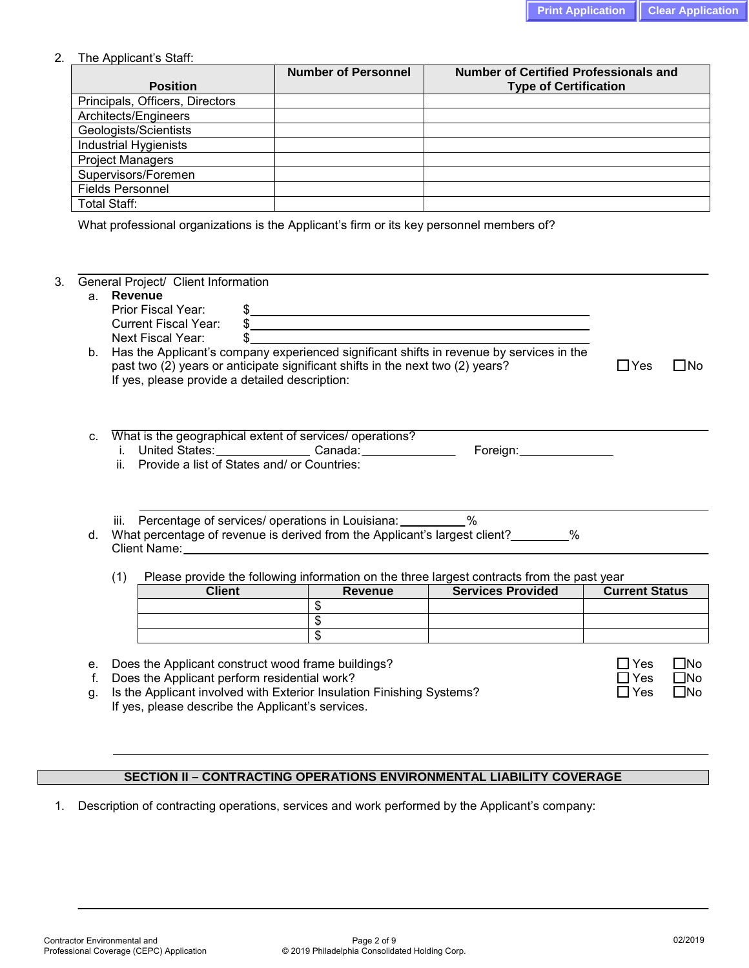### 2. The Applicant's Staff:

|                                 | <b>Number of Personnel</b> | <b>Number of Certified Professionals and</b> |
|---------------------------------|----------------------------|----------------------------------------------|
| <b>Position</b>                 |                            | <b>Type of Certification</b>                 |
| Principals, Officers, Directors |                            |                                              |
| Architects/Engineers            |                            |                                              |
| Geologists/Scientists           |                            |                                              |
| <b>Industrial Hygienists</b>    |                            |                                              |
| <b>Project Managers</b>         |                            |                                              |
| Supervisors/Foremen             |                            |                                              |
| <b>Fields Personnel</b>         |                            |                                              |
| Total Staff:                    |                            |                                              |

What professional organizations is the Applicant's firm or its key personnel members of?

| a.      | Revenue                                                                                                                                                                                                                        |                 |                                                                                            |                       |                     |
|---------|--------------------------------------------------------------------------------------------------------------------------------------------------------------------------------------------------------------------------------|-----------------|--------------------------------------------------------------------------------------------|-----------------------|---------------------|
|         | Prior Fiscal Year:                                                                                                                                                                                                             |                 | $\frac{1}{2}$                                                                              |                       |                     |
|         | <b>Current Fiscal Year:</b>                                                                                                                                                                                                    |                 |                                                                                            |                       |                     |
|         | Next Fiscal Year:<br>\$                                                                                                                                                                                                        |                 |                                                                                            |                       |                     |
| b.      | Has the Applicant's company experienced significant shifts in revenue by services in the<br>past two (2) years or anticipate significant shifts in the next two (2) years?                                                     |                 |                                                                                            | $\Box$ Yes            | $\Box$ No           |
|         | If yes, please provide a detailed description:                                                                                                                                                                                 |                 |                                                                                            |                       |                     |
|         |                                                                                                                                                                                                                                |                 |                                                                                            |                       |                     |
|         |                                                                                                                                                                                                                                |                 |                                                                                            |                       |                     |
|         |                                                                                                                                                                                                                                |                 |                                                                                            |                       |                     |
| $C_{-}$ | What is the geographical extent of services/ operations?                                                                                                                                                                       |                 |                                                                                            |                       |                     |
|         | i. United States: Canada: Canada:                                                                                                                                                                                              |                 |                                                                                            |                       |                     |
|         | ii. Provide a list of States and/ or Countries:                                                                                                                                                                                |                 |                                                                                            |                       |                     |
|         |                                                                                                                                                                                                                                |                 |                                                                                            |                       |                     |
|         |                                                                                                                                                                                                                                |                 |                                                                                            |                       |                     |
|         |                                                                                                                                                                                                                                |                 |                                                                                            |                       |                     |
|         |                                                                                                                                                                                                                                |                 |                                                                                            |                       |                     |
|         | iii. Percentage of services/ operations in Louisiana: ___________%                                                                                                                                                             |                 |                                                                                            |                       |                     |
|         | What percentage of revenue is derived from the Applicant's largest client?________%                                                                                                                                            |                 |                                                                                            |                       |                     |
|         | Client Name: Name: Name and Separate and Separate and Separate and Separate and Separate and Separate and Separate and Separate and Separate and Separate and Separate and Separate and Separate and Separate and Separate and |                 |                                                                                            |                       |                     |
| d.      |                                                                                                                                                                                                                                |                 |                                                                                            |                       |                     |
|         | (1)                                                                                                                                                                                                                            |                 | Please provide the following information on the three largest contracts from the past year |                       |                     |
|         | <b>Client</b>                                                                                                                                                                                                                  | <b>Revenue</b>  | <b>Services Provided</b>                                                                   | <b>Current Status</b> |                     |
|         |                                                                                                                                                                                                                                | \$              |                                                                                            |                       |                     |
|         |                                                                                                                                                                                                                                | $\overline{\$}$ |                                                                                            |                       |                     |
|         |                                                                                                                                                                                                                                | \$              |                                                                                            |                       |                     |
|         |                                                                                                                                                                                                                                |                 |                                                                                            |                       |                     |
| е.      | Does the Applicant construct wood frame buildings?                                                                                                                                                                             |                 |                                                                                            | Yes                   |                     |
| f.      | Does the Applicant perform residential work?<br>Is the Applicant involved with Exterior Insulation Finishing Systems?                                                                                                          |                 |                                                                                            | Yes                   | $\square$ No<br>⊟No |

If yes, please describe the Applicant's services.

# **SECTION II – CONTRACTING OPERATIONS ENVIRONMENTAL LIABILITY COVERAGE**

1. Description of contracting operations, services and work performed by the Applicant's company: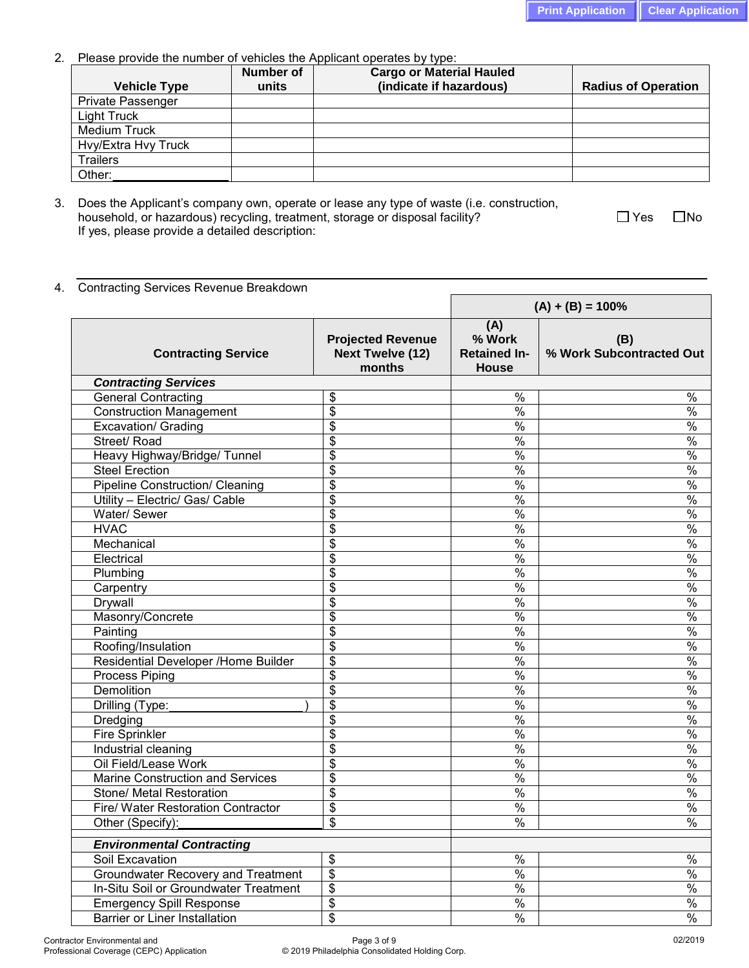2. Please provide the number of vehicles the Applicant operates by type:

| <b>Vehicle Type</b> | <b>Number of</b><br>units | <b>Cargo or Material Hauled</b><br>(indicate if hazardous) | <b>Radius of Operation</b> |
|---------------------|---------------------------|------------------------------------------------------------|----------------------------|
|                     |                           |                                                            |                            |
| Private Passenger   |                           |                                                            |                            |
| Light Truck         |                           |                                                            |                            |
| <b>Medium Truck</b> |                           |                                                            |                            |
| Hvy/Extra Hvy Truck |                           |                                                            |                            |
| <b>Trailers</b>     |                           |                                                            |                            |
| Other:              |                           |                                                            |                            |

 $\blacksquare$ 

3. Does the Applicant's company own, operate or lease any type of waste (i.e. construction, household, or hazardous) recycling, treatment, storage or disposal facility?  $\square$  Yes  $\square$  No If yes, please provide a detailed description:

4. Contracting Services Revenue Breakdown

|                                           |                                                               | $(A) + (B) = 100%$                            |                                 |
|-------------------------------------------|---------------------------------------------------------------|-----------------------------------------------|---------------------------------|
| <b>Contracting Service</b>                | <b>Projected Revenue</b><br><b>Next Twelve (12)</b><br>months | (A)<br>% Work<br><b>Retained In-</b><br>House | (B)<br>% Work Subcontracted Out |
| <b>Contracting Services</b>               |                                                               |                                               |                                 |
| <b>General Contracting</b>                | \$                                                            | $\%$                                          | $\%$                            |
| <b>Construction Management</b>            | $\overline{\mathcal{S}}$                                      | $\frac{8}{6}$                                 | $\frac{1}{6}$                   |
| <b>Excavation/ Grading</b>                | \$                                                            | $\frac{1}{2}$                                 | $\frac{8}{6}$                   |
| Street/Road                               | $\overline{\$}$                                               | $\frac{0}{0}$                                 | $\frac{0}{0}$                   |
| Heavy Highway/Bridge/ Tunnel              | \$                                                            | $\frac{1}{2}$                                 | $\frac{1}{2}$                   |
| <b>Steel Erection</b>                     | \$                                                            | $\%$                                          | $\frac{1}{6}$                   |
| <b>Pipeline Construction/ Cleaning</b>    | \$                                                            | $\frac{1}{2}$                                 | $\frac{8}{6}$                   |
| Utility - Electric/ Gas/ Cable            | $\overline{\$}$                                               | $\frac{0}{0}$                                 | $\frac{0}{0}$                   |
| Water/Sewer                               | \$                                                            | $\frac{1}{2}$                                 | $\frac{1}{6}$                   |
| <b>HVAC</b>                               | \$                                                            | $\%$                                          | $\frac{0}{0}$                   |
| Mechanical                                | \$                                                            | $\%$                                          | $\frac{0}{6}$                   |
| Electrical                                | $\overline{\$}$                                               | $\frac{0}{0}$                                 | $\frac{0}{0}$                   |
| Plumbing                                  | \$                                                            | $\frac{0}{6}$                                 | $\frac{0}{0}$                   |
| Carpentry                                 | \$                                                            | $\%$                                          | $\frac{0}{0}$                   |
| Drywall                                   | \$                                                            | $\%$                                          | $\frac{0}{6}$                   |
| Masonry/Concrete                          | $\overline{\$}$                                               | $\frac{0}{0}$                                 | $\frac{0}{0}$                   |
| Painting                                  | \$                                                            | $\frac{0}{6}$                                 | $\frac{0}{0}$                   |
| Roofing/Insulation                        | $\overline{\$}$                                               | $\%$                                          | $\frac{0}{0}$                   |
| Residential Developer /Home Builder       | \$                                                            | $\frac{1}{2}$                                 | $\frac{1}{2}$                   |
| Process Piping                            | $\overline{\$}$                                               | $\frac{0}{6}$                                 | $\frac{0}{0}$                   |
| Demolition                                | $\overline{\mathbf{S}}$                                       | $\frac{1}{2}$                                 | $\frac{1}{2}$                   |
| Drilling (Type:                           | $\overline{\boldsymbol{\mathfrak{s}}}$                        | $\%$                                          | $\frac{1}{2}$                   |
| Dredging                                  | \$                                                            | $\frac{1}{2}$                                 | $\sqrt{2}$                      |
| Fire Sprinkler                            | $\overline{\$}$                                               | $\frac{0}{6}$                                 | $\frac{0}{6}$                   |
| Industrial cleaning                       | $\overline{\mathbb{S}}$                                       | $\frac{1}{2}$                                 | $\frac{1}{6}$                   |
| Oil Field/Lease Work                      | $\overline{\$}$                                               | $\%$                                          | $\sqrt{2}$                      |
| Marine Construction and Services          | \$                                                            | $\frac{1}{2}$                                 | $\frac{1}{6}$                   |
| Stone/ Metal Restoration                  | $\overline{\$}$                                               | $\frac{0}{6}$                                 | $\frac{0}{6}$                   |
| Fire/ Water Restoration Contractor        | \$                                                            | $\frac{9}{6}$                                 | $\frac{1}{6}$                   |
| Other (Specify):                          | \$                                                            | $\%$                                          | $\%$                            |
| <b>Environmental Contracting</b>          |                                                               |                                               |                                 |
| Soil Excavation                           | \$                                                            | $\frac{0}{6}$                                 | $\frac{0}{6}$                   |
| <b>Groundwater Recovery and Treatment</b> | $\overline{\boldsymbol{\mathsf{s}}}$                          | $\frac{0}{6}$                                 | $\frac{0}{6}$                   |
| In-Situ Soil or Groundwater Treatment     | $\overline{\mathcal{S}}$                                      | $\frac{0}{6}$                                 | $\frac{0}{6}$                   |
| <b>Emergency Spill Response</b>           | $\overline{\mathcal{S}}$                                      | $\frac{0}{6}$                                 | $\frac{0}{6}$                   |
| <b>Barrier or Liner Installation</b>      | \$                                                            | $\frac{0}{6}$                                 | $\frac{0}{6}$                   |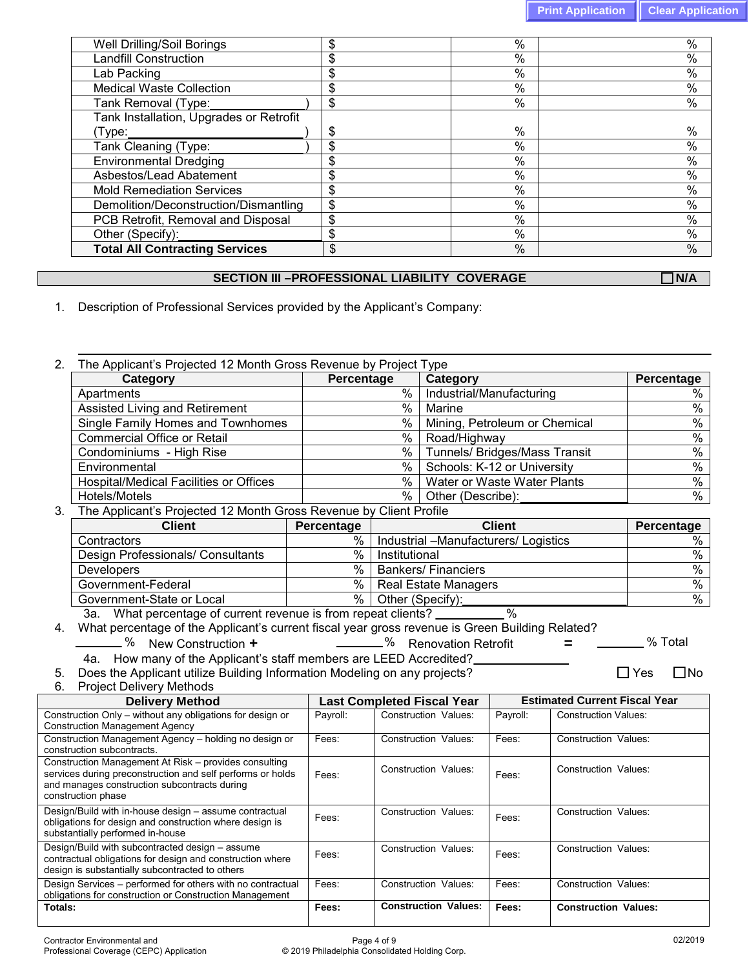| %                   | %             |
|---------------------|---------------|
| \$<br>%             | $\frac{0}{0}$ |
| \$<br>%             | $\frac{0}{0}$ |
| \$<br>$\%$          | $\%$          |
| \$<br>$\%$          | $\%$          |
|                     |               |
| \$<br>$\frac{0}{0}$ | $\%$          |
| \$<br>$\frac{0}{0}$ | $\%$          |
| \$<br>%             | $\%$          |
| \$<br>$\frac{0}{0}$ | $\%$          |
| \$<br>$\frac{0}{0}$ | $\%$          |
| \$<br>$\frac{0}{0}$ | $\frac{0}{0}$ |
| \$<br>%             | $\%$          |
| \$<br>$\frac{0}{0}$ | $\frac{0}{0}$ |
| \$<br>$\%$          | $\%$          |
|                     |               |

### **SECTION III –PROFESSIONAL LIABILITY COVERAGE NAMAL NO RESERVED BY A RIGHT ROLL OF A RIGHT ROLL OF A RIGHT ROLL OF A RIGHT ROLL OF A RIGHT ROLL OF A RIGHT ROLL OF A RIGHT ROLL OF A RIGHT ROLL OF A RIGHT ROLL OF A RIGHT ROL**

1. Description of Professional Services provided by the Applicant's Company:

2. The Applicant's Projected 12 Month Gross Revenue by Project Type **Category Category Percentage Category Percentage Percentage Percentage Percentage Percentage Percentage Percentage Percentage Percentage Percentage Percentage Percentage Percentage Percen** % Industrial/Manufacturing % Industrial/Manufacturing Assisted Living and Retirement  $\frac{96}{20}$  Marine  $\frac{96}{20}$  Marine  $\frac{96}{20}$  Marine  $\frac{96}{20}$  Mining, Petroleum or Chemical  $\frac{96}{20}$ Single Family Homes and Townhomes <br>
Commercial Office or Retail **2008** Mining, Petroleum or Chemical **2008** Road/Highway Commercial Office or Retail  $\frac{96}{20}$  Road/Highway  $\frac{96}{20}$  Road/Highway  $\frac{96}{20}$  Tunnels/ Bridges/Mass Transit  $\frac{96}{20}$  Tunnels/ Bridges/Mass Transit % Tunnels/ Bridges/Mass Transit % 7% Numels/ Bridges/Mass Transit % 7% % 8 Schools: K-12 or University Environmental Medical Facilities or Offices Material Medical Control of Medical Facilities or Offices Medical Control of Medical Control of Medical Facilities or Offices Medical Control of Medical Control of Medical Contro Hospital/Medical Facilities or Offices | Water or Waste Water Plants | % | Water or Waste Water Plants Hotels/Motels % Other (Describe): % 3. The Applicant's Projected 12 Month Gross Revenue by Client Profile<br> **Client** Percentage **Percentage Client Percentage** Contractors % | Industrial –Manufacturers/ Logistics %<br>Design Professionals/ Consultants % | Institutional Design Professionals/ Consultants | Washington Muslim Wall Institutional Developers % Bankers/ Financiers %<br>Government-Federal % Real Estate Managers % Government-Federal  $\begin{array}{c|c} \hline \text{S}} \text{ = } \text{S} \text{ = } \text{S} \text{ = } \text{S} \text{ = } \text{S} \text{ = } \text{S} \text{ = } \text{S} \text{ = } \text{S} \text{ = } \text{S} \text{ = } \text{S} \text{ = } \text{S} \text{ = } \text{S} \text{ = } \text{S} \text{ = } \text{S} \text{ = } \text{S} \text{ = } \text{S} \text{ = } \text{S} \text{ = } \text{S} \text{ = } \text{S} \text{ = }$ Government-State or Local 3a. What percentage of current revenue is from repeat clients? 4. What percentage of the Applicant's current fiscal year gross revenue is Green Building Related? % New Construction **+** % Renovation Retrofit **=** % Total 4a. How many of the Applicant's staff members are LEED Accredited? 5. Does the Applicant utilize Building Information Modeling on any projects?  $\square$  Yes  $\square$  Yes  $\square$  No 6. Project Delivery Methods **Last Completed Fiscal Year | Estimated Current Fiscal Year | Payroll: | Construction Values: | Payroll: | Construction Values: | Payroll: | Construction Values: | Payroll: | Construction Values: | Payroll: | Construction** Construction Only – without any obligations for design or Construction Management Agency Construction Values: Construction Management Agency – holding no design or construction subcontracts. Fees: Construction Values: Fees: Construction Values: Construction Management At Risk – provides consulting services during preconstruction and self performs or holds and manages construction subcontracts during construction phase Fees: Construction Values: | Fees: | Construction Values: Design/Build with in-house design – assume contractual obligations for design and construction where design is substantially performed in-house Fees: Construction Values: | Fees: | Construction Values: Design/Build with subcontracted design – assume contractual obligations for design and construction where Fees: Construction Values: Fees: Construction Values:

design is substantially subcontracted to others

Design Services – performed for others with no contractual obligations for construction or Construction Management<br>Totals:

Fees: Construction Values: Fees: Construction Values: **Totals: Fees: Construction Values: Fees: Construction Values:**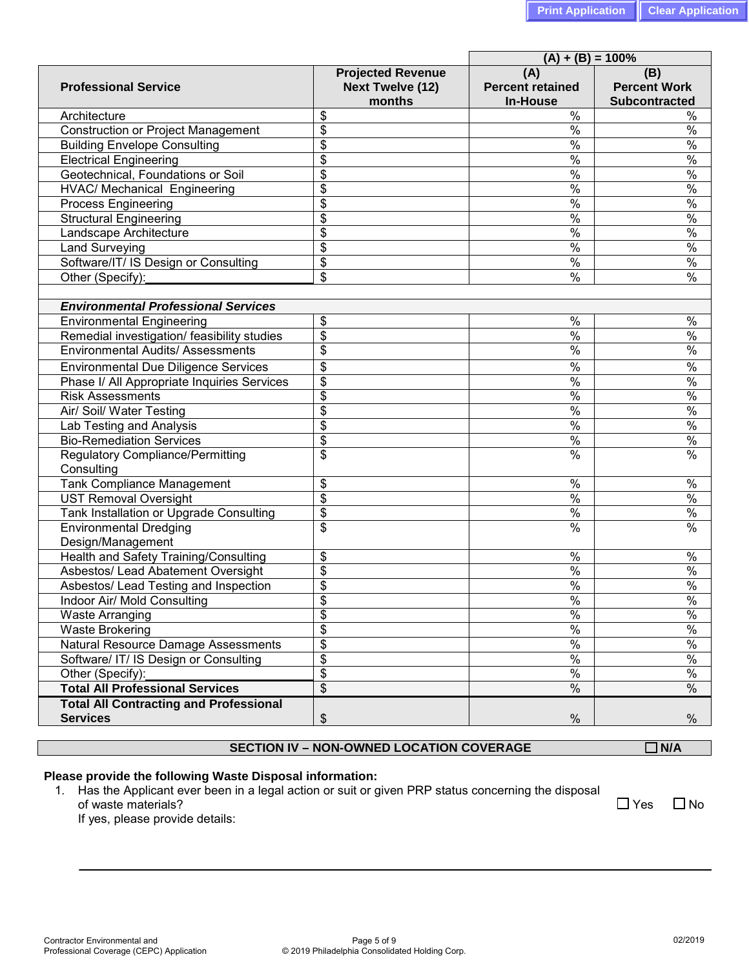| <b>Projected Revenue</b>          | $(A) + (B) = 100%$                                                                                                                                                                                                       |                                                                                                                                                                                                                                                                                                                                                                                       |
|-----------------------------------|--------------------------------------------------------------------------------------------------------------------------------------------------------------------------------------------------------------------------|---------------------------------------------------------------------------------------------------------------------------------------------------------------------------------------------------------------------------------------------------------------------------------------------------------------------------------------------------------------------------------------|
| <b>Next Twelve (12)</b><br>months | (A)<br><b>Percent retained</b><br><b>In-House</b>                                                                                                                                                                        | (B)<br><b>Percent Work</b><br><b>Subcontracted</b>                                                                                                                                                                                                                                                                                                                                    |
| \$                                | %                                                                                                                                                                                                                        | %                                                                                                                                                                                                                                                                                                                                                                                     |
| \$                                | $\%$                                                                                                                                                                                                                     | %                                                                                                                                                                                                                                                                                                                                                                                     |
|                                   | $\%$                                                                                                                                                                                                                     | $\%$                                                                                                                                                                                                                                                                                                                                                                                  |
|                                   |                                                                                                                                                                                                                          | $\%$                                                                                                                                                                                                                                                                                                                                                                                  |
|                                   |                                                                                                                                                                                                                          | $\%$                                                                                                                                                                                                                                                                                                                                                                                  |
|                                   |                                                                                                                                                                                                                          | $\%$                                                                                                                                                                                                                                                                                                                                                                                  |
|                                   |                                                                                                                                                                                                                          | $\%$                                                                                                                                                                                                                                                                                                                                                                                  |
|                                   |                                                                                                                                                                                                                          | $\%$                                                                                                                                                                                                                                                                                                                                                                                  |
|                                   |                                                                                                                                                                                                                          | $\%$                                                                                                                                                                                                                                                                                                                                                                                  |
|                                   |                                                                                                                                                                                                                          | %                                                                                                                                                                                                                                                                                                                                                                                     |
|                                   |                                                                                                                                                                                                                          | %                                                                                                                                                                                                                                                                                                                                                                                     |
|                                   |                                                                                                                                                                                                                          | %                                                                                                                                                                                                                                                                                                                                                                                     |
|                                   |                                                                                                                                                                                                                          |                                                                                                                                                                                                                                                                                                                                                                                       |
|                                   |                                                                                                                                                                                                                          |                                                                                                                                                                                                                                                                                                                                                                                       |
|                                   |                                                                                                                                                                                                                          | %                                                                                                                                                                                                                                                                                                                                                                                     |
|                                   |                                                                                                                                                                                                                          | $\%$                                                                                                                                                                                                                                                                                                                                                                                  |
|                                   |                                                                                                                                                                                                                          | $\%$                                                                                                                                                                                                                                                                                                                                                                                  |
|                                   |                                                                                                                                                                                                                          | $\frac{1}{2}$                                                                                                                                                                                                                                                                                                                                                                         |
|                                   |                                                                                                                                                                                                                          | $\frac{1}{6}$                                                                                                                                                                                                                                                                                                                                                                         |
|                                   |                                                                                                                                                                                                                          | $\frac{1}{6}$                                                                                                                                                                                                                                                                                                                                                                         |
|                                   |                                                                                                                                                                                                                          | $\frac{1}{2}$                                                                                                                                                                                                                                                                                                                                                                         |
|                                   |                                                                                                                                                                                                                          | $\frac{1}{6}$                                                                                                                                                                                                                                                                                                                                                                         |
|                                   |                                                                                                                                                                                                                          | $\frac{1}{6}$                                                                                                                                                                                                                                                                                                                                                                         |
|                                   |                                                                                                                                                                                                                          | $\frac{1}{2}$                                                                                                                                                                                                                                                                                                                                                                         |
|                                   |                                                                                                                                                                                                                          |                                                                                                                                                                                                                                                                                                                                                                                       |
| \$                                |                                                                                                                                                                                                                          | $\%$                                                                                                                                                                                                                                                                                                                                                                                  |
| \$                                |                                                                                                                                                                                                                          | $\%$                                                                                                                                                                                                                                                                                                                                                                                  |
| \$                                |                                                                                                                                                                                                                          | $\%$                                                                                                                                                                                                                                                                                                                                                                                  |
| \$                                |                                                                                                                                                                                                                          | $\%$                                                                                                                                                                                                                                                                                                                                                                                  |
|                                   |                                                                                                                                                                                                                          | $\frac{0}{0}$                                                                                                                                                                                                                                                                                                                                                                         |
|                                   |                                                                                                                                                                                                                          | $\%$                                                                                                                                                                                                                                                                                                                                                                                  |
|                                   |                                                                                                                                                                                                                          | $\frac{0}{0}$                                                                                                                                                                                                                                                                                                                                                                         |
|                                   |                                                                                                                                                                                                                          | $\%$                                                                                                                                                                                                                                                                                                                                                                                  |
|                                   |                                                                                                                                                                                                                          | $\frac{8}{6}$                                                                                                                                                                                                                                                                                                                                                                         |
|                                   |                                                                                                                                                                                                                          | $\%$                                                                                                                                                                                                                                                                                                                                                                                  |
|                                   |                                                                                                                                                                                                                          | $\%$                                                                                                                                                                                                                                                                                                                                                                                  |
|                                   |                                                                                                                                                                                                                          | $\%$                                                                                                                                                                                                                                                                                                                                                                                  |
|                                   |                                                                                                                                                                                                                          | $\%$                                                                                                                                                                                                                                                                                                                                                                                  |
|                                   |                                                                                                                                                                                                                          | %                                                                                                                                                                                                                                                                                                                                                                                     |
|                                   |                                                                                                                                                                                                                          |                                                                                                                                                                                                                                                                                                                                                                                       |
|                                   |                                                                                                                                                                                                                          | $\%$                                                                                                                                                                                                                                                                                                                                                                                  |
|                                   | \$<br>\$<br>\$<br>\$<br>\$<br>\$<br>\$<br>\$<br>\$<br>\$<br>\$<br>\$<br>\$<br>$\boldsymbol{\mathsf{S}}$<br>\$<br>\$<br>\$<br>\$<br>\$<br>\$<br>\$<br>\$<br>\$<br>\$<br>\$<br>\$<br>\$<br>\$<br>\$<br>\$<br>$\frac{1}{2}$ | $\%$<br>$\%$<br>$\%$<br>$\%$<br>$\%$<br>$\%$<br>$\%$<br>$\%$<br>$\%$<br>%<br>$\%$<br>$\%$<br>$\frac{1}{2}$<br>$\frac{1}{2}$<br>$\frac{1}{2}$<br>$\frac{1}{2}$<br>$\frac{1}{2}$<br>$\frac{1}{2}$<br>$\frac{1}{2}$<br>$\%$<br>$\frac{1}{2}$<br>$\frac{1}{2}$<br>$\frac{1}{2}$<br>$\%$<br>$\%$<br>$\%$<br>$\%$<br>$\frac{1}{2}$<br>$\frac{1}{2}$<br>$\%$<br>$\%$<br>$\%$<br>$\%$<br>$\%$ |

## **SECTION IV – NON-OWNED LOCATION COVERAGE ■ ■ ■ ■ ■ N/A**

#### **Please provide the following Waste Disposal information:**

1. Has the Applicant ever been in a legal action or suit or given PRP status concerning the disposal of waste materials?  $\Box$  No If yes, please provide details:

Contractor Environmental and Professional Coverage (CEPC) Application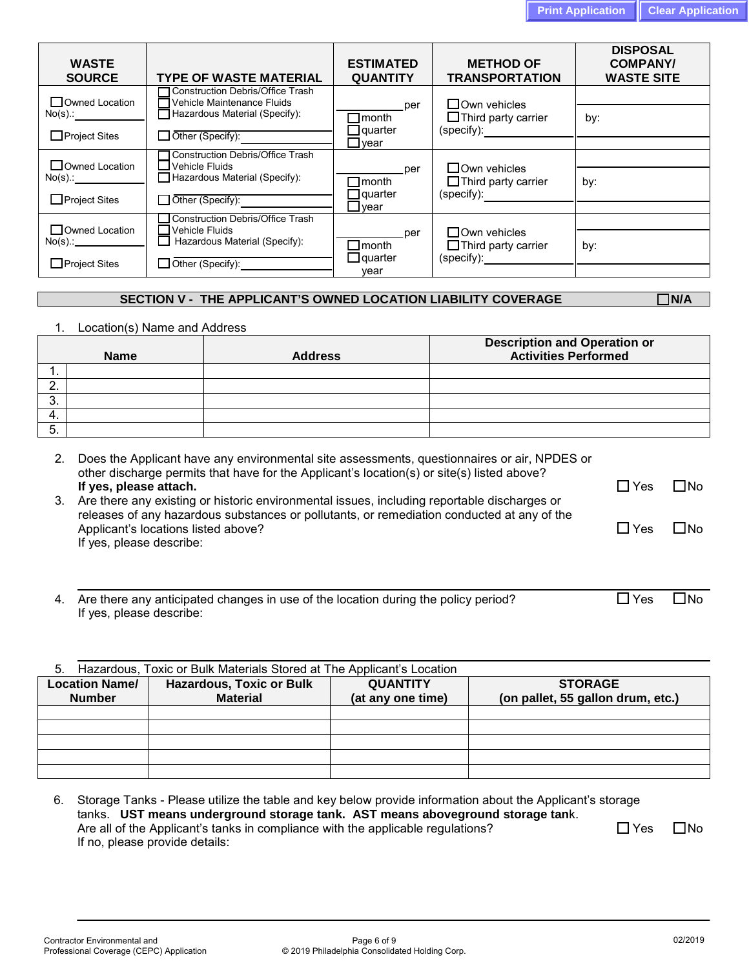| <b>WASTE</b><br><b>SOURCE</b> | <b>TYPE OF WASTE MATERIAL</b>                                         | <b>ESTIMATED</b><br><b>QUANTITY</b> | <b>METHOD OF</b><br><b>TRANSPORTATION</b>         | <b>DISPOSAL</b><br><b>COMPANY/</b><br><b>WASTE SITE</b> |
|-------------------------------|-----------------------------------------------------------------------|-------------------------------------|---------------------------------------------------|---------------------------------------------------------|
| Owned Location                | <b>Construction Debris/Office Trash</b><br>Vehicle Maintenance Fluids | per                                 | $\square$ Own vehicles                            |                                                         |
| $No(s)$ :                     | Hazardous Material (Specify):                                         | $\Box$ month<br>$\Box$ quarter      | $\Box$ Third party carrier<br>(specify):          | by:                                                     |
| $\Box$ Project Sites          | Other (Specify):                                                      | $\Box$ vear                         |                                                   |                                                         |
| $\Box$ Owned Location         | <b>Construction Debris/Office Trash</b><br>$\sqcup$ Vehicle Fluids    | per                                 | $\square$ Own vehicles                            |                                                         |
| $No(s)$ .:                    | $\Box$ Hazardous Material (Specify):                                  | $\sqcap$ month                      | $\Box$ Third party carrier                        | by:                                                     |
| $\Box$ Project Sites          | Other (Specify):                                                      | $\Box$ quarter<br>$\Box$ year       | (specify):                                        |                                                         |
| Owned Location                | Construction Debris/Office Trash<br>Vehicle Fluids                    |                                     |                                                   |                                                         |
| $No(s)$ .: $\qquad \qquad$    | Hazardous Material (Specify):                                         | per<br>$\Box$ month                 | $\Box$ Own vehicles<br>$\Box$ Third party carrier | by:                                                     |
| $\Box$ Project Sites          | Other (Specify): ___________                                          | $\Box$ quarter<br>vear              | (specify):                                        |                                                         |

# **SECTION V - THE APPLICANT'S OWNED LOCATION LIABILITY COVERAGE N/A**

1. Location(s) Name and Address

|      | <b>Name</b> | <b>Address</b> | Description and Operation or<br><b>Activities Performed</b> |
|------|-------------|----------------|-------------------------------------------------------------|
| . .  |             |                |                                                             |
|      |             |                |                                                             |
| . v. |             |                |                                                             |
| -4.  |             |                |                                                             |
| э.   |             |                |                                                             |

|    | Does the Applicant have any environmental site assessments, questionnaires or air, NPDES or<br>other discharge permits that have for the Applicant's location(s) or site(s) listed above?<br>If yes, please attach. | $\Box$ Yes | ΠNo   |
|----|---------------------------------------------------------------------------------------------------------------------------------------------------------------------------------------------------------------------|------------|-------|
| 3. | Are there any existing or historic environmental issues, including reportable discharges or<br>releases of any hazardous substances or pollutants, or remediation conducted at any of the                           |            |       |
|    | Applicant's locations listed above?<br>If yes, please describe:                                                                                                                                                     | l IYes     | ∣ IN∩ |
|    |                                                                                                                                                                                                                     |            |       |

| 4. Are there any anticipated changes in use of the location during the policy period? | $\Box$ Yes | $\square$ No |
|---------------------------------------------------------------------------------------|------------|--------------|
| If yes, please describe:                                                              |            |              |

| Hazardous, Toxic or Bulk Materials Stored at The Applicant's Location<br>5. |                                 |                   |                                   |  |  |  |  |  |  |
|-----------------------------------------------------------------------------|---------------------------------|-------------------|-----------------------------------|--|--|--|--|--|--|
| <b>Location Name/</b>                                                       | <b>Hazardous, Toxic or Bulk</b> | <b>QUANTITY</b>   | <b>STORAGE</b>                    |  |  |  |  |  |  |
| <b>Number</b>                                                               | <b>Material</b>                 | (at any one time) | (on pallet, 55 gallon drum, etc.) |  |  |  |  |  |  |
|                                                                             |                                 |                   |                                   |  |  |  |  |  |  |
|                                                                             |                                 |                   |                                   |  |  |  |  |  |  |
|                                                                             |                                 |                   |                                   |  |  |  |  |  |  |
|                                                                             |                                 |                   |                                   |  |  |  |  |  |  |
|                                                                             |                                 |                   |                                   |  |  |  |  |  |  |

|                                                                                 | 6. Storage Tanks - Please utilize the table and key below provide information about the Applicant's storage |              |  |  |  |
|---------------------------------------------------------------------------------|-------------------------------------------------------------------------------------------------------------|--------------|--|--|--|
| tanks. UST means underground storage tank. AST means aboveground storage tank.  |                                                                                                             |              |  |  |  |
| Are all of the Applicant's tanks in compliance with the applicable regulations? | ∏ Yes                                                                                                       | $\square$ No |  |  |  |
| If no, please provide details:                                                  |                                                                                                             |              |  |  |  |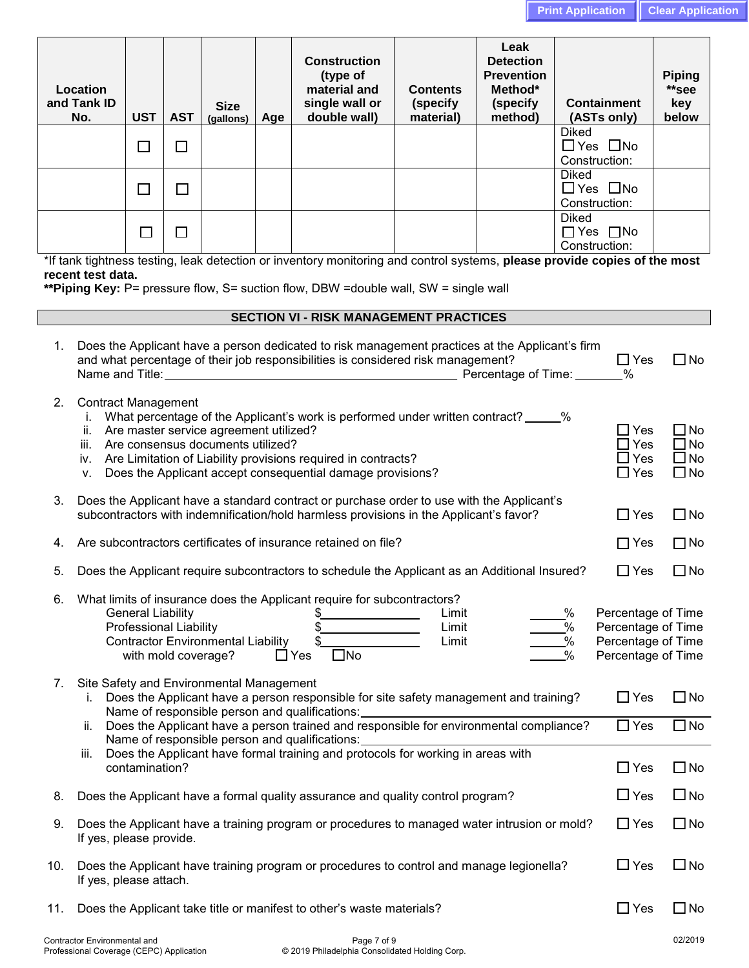|    |                                                                                                                                                                                                                                                                                                                                                                                                               |                          |            |                          |     |                                                                                                                                                                                     |                                          |                                                                                 | <b>Print Application</b>                         |                                       |  | <b>Clear Applica</b>                   |
|----|---------------------------------------------------------------------------------------------------------------------------------------------------------------------------------------------------------------------------------------------------------------------------------------------------------------------------------------------------------------------------------------------------------------|--------------------------|------------|--------------------------|-----|-------------------------------------------------------------------------------------------------------------------------------------------------------------------------------------|------------------------------------------|---------------------------------------------------------------------------------|--------------------------------------------------|---------------------------------------|--|----------------------------------------|
|    | Location<br>and Tank ID<br>No.                                                                                                                                                                                                                                                                                                                                                                                | <b>UST</b>               | <b>AST</b> | <b>Size</b><br>(gallons) | Age | <b>Construction</b><br>(type of<br>material and<br>single wall or<br>double wall)                                                                                                   | <b>Contents</b><br>(specify<br>material) | Leak<br><b>Detection</b><br><b>Prevention</b><br>Method*<br>(specify<br>method) |                                                  | <b>Containment</b><br>(ASTs only)     |  | <b>Piping</b><br>**see<br>key<br>below |
|    |                                                                                                                                                                                                                                                                                                                                                                                                               | □                        | $\Box$     |                          |     |                                                                                                                                                                                     |                                          |                                                                                 | <b>Diked</b>                                     | $\Box$ Yes $\Box$ No<br>Construction: |  |                                        |
|    |                                                                                                                                                                                                                                                                                                                                                                                                               | □                        | $\Box$     |                          |     |                                                                                                                                                                                     |                                          |                                                                                 | <b>Diked</b>                                     | $\Box$ Yes $\Box$ No<br>Construction: |  |                                        |
|    |                                                                                                                                                                                                                                                                                                                                                                                                               | $\Box$                   | $\Box$     |                          |     |                                                                                                                                                                                     |                                          |                                                                                 | <b>Diked</b>                                     | $\Box$ Yes $\Box$ No<br>Construction: |  |                                        |
|    | *If tank tightness testing, leak detection or inventory monitoring and control systems, please provide copies of the most<br>recent test data.<br>**Piping Key: P= pressure flow, S= suction flow, DBW =double wall, SW = single wall                                                                                                                                                                         |                          |            |                          |     |                                                                                                                                                                                     |                                          |                                                                                 |                                                  |                                       |  |                                        |
|    |                                                                                                                                                                                                                                                                                                                                                                                                               |                          |            |                          |     | <b>SECTION VI - RISK MANAGEMENT PRACTICES</b>                                                                                                                                       |                                          |                                                                                 |                                                  |                                       |  |                                        |
| 1. | Does the Applicant have a person dedicated to risk management practices at the Applicant's firm<br>and what percentage of their job responsibilities is considered risk management?<br>$\Box$ Yes                                                                                                                                                                                                             |                          |            |                          |     |                                                                                                                                                                                     |                                          |                                                                                 | $\Box$ No                                        |                                       |  |                                        |
| 2. | <b>Contract Management</b><br>i. What percentage of the Applicant's work is performed under written contract? _____%<br>$\Box$ Yes<br>ii. Are master service agreement utilized?<br>$\Box$ Yes<br>iii. Are consensus documents utilized?<br>$\Box$ Yes<br>iv. Are Limitation of Liability provisions required in contracts?<br>$\Box$ Yes<br>Does the Applicant accept consequential damage provisions?<br>V. |                          |            |                          |     |                                                                                                                                                                                     |                                          |                                                                                 | $\Box$ No<br>$\Box$ No<br>$\Box$ No<br>$\Box$ No |                                       |  |                                        |
| 3. |                                                                                                                                                                                                                                                                                                                                                                                                               |                          |            |                          |     | Does the Applicant have a standard contract or purchase order to use with the Applicant's<br>subcontractors with indemnification/hold harmless provisions in the Applicant's favor? |                                          |                                                                                 |                                                  | $\Box$ Yes                            |  | $\Box$ No                              |
| 4. | Are subcontractors certificates of insurance retained on file?<br>$\Box$ Yes                                                                                                                                                                                                                                                                                                                                  |                          |            |                          |     |                                                                                                                                                                                     |                                          | $\Box$ No                                                                       |                                                  |                                       |  |                                        |
| 5. |                                                                                                                                                                                                                                                                                                                                                                                                               |                          |            |                          |     | Does the Applicant require subcontractors to schedule the Applicant as an Additional Insured?                                                                                       |                                          |                                                                                 |                                                  | $\Box$ Yes                            |  | $\Box$ No                              |
| 6. |                                                                                                                                                                                                                                                                                                                                                                                                               | <b>General Liability</b> |            |                          |     | What limits of insurance does the Applicant require for subcontractors?<br>\$_                                                                                                      | Limit                                    |                                                                                 | $\frac{0}{0}$                                    | Percentage of Time                    |  |                                        |

|     | <b>Professional Liability</b><br>%<br>Limit<br>Limit<br><b>Contractor Environmental Liability</b><br>$\%$<br>$\square$ No<br>$\sqcap$ Yes<br>with mold coverage?<br>$\frac{9}{6}$   | Percentage of Time<br>Percentage of Time<br>Percentage of Time |              |
|-----|-------------------------------------------------------------------------------------------------------------------------------------------------------------------------------------|----------------------------------------------------------------|--------------|
| 7.  | Site Safety and Environmental Management<br>Does the Applicant have a person responsible for site safety management and training?<br>Name of responsible person and qualifications: | $\Box$ Yes                                                     | ∐ No         |
|     | Does the Applicant have a person trained and responsible for environmental compliance?<br>ii.<br>Name of responsible person and qualifications:                                     | $\Box$ Yes                                                     | $\square$ No |
|     | iii.<br>Does the Applicant have formal training and protocols for working in areas with<br>contamination?                                                                           | $\Box$ Yes                                                     | $\Box$ No    |
| 8.  | Does the Applicant have a formal quality assurance and quality control program?                                                                                                     | $\Box$ Yes                                                     | $\square$ No |
| 9.  | Does the Applicant have a training program or procedures to managed water intrusion or mold?<br>If yes, please provide.                                                             | $\Box$ Yes                                                     | $\square$ No |
| 10. | Does the Applicant have training program or procedures to control and manage legionella?<br>If yes, please attach.                                                                  | $\Box$ Yes                                                     | $\square$ No |

11. Does the Applicant take title or manifest to other's waste materials?  $\square$  Yes  $\square$  No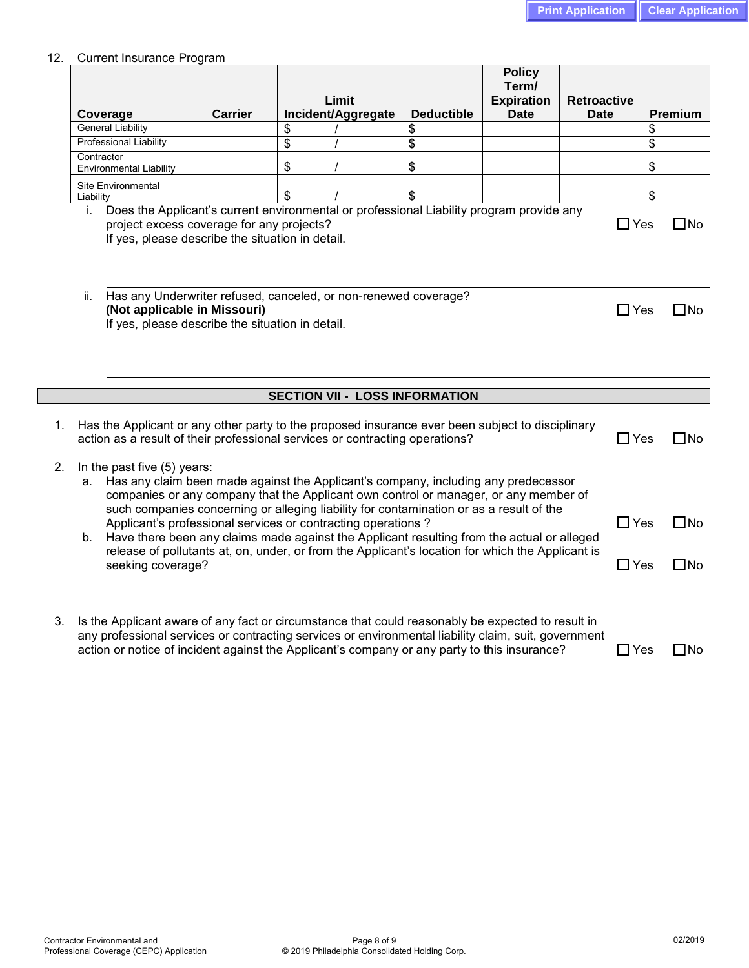### 12. Current Insurance Program

|    | Coverage                                                                                                                                                                                                                      |                                                                                                                                                                                                                                                                                                                                                           | <b>Carrier</b> | Limit<br>Incident/Aggregate                                                                                                                                                                                                                                                                               | <b>Deductible</b>         | <b>Policy</b><br>Term/<br><b>Expiration</b><br><b>Date</b> | <b>Retroactive</b><br><b>Date</b> |               | Premium      |
|----|-------------------------------------------------------------------------------------------------------------------------------------------------------------------------------------------------------------------------------|-----------------------------------------------------------------------------------------------------------------------------------------------------------------------------------------------------------------------------------------------------------------------------------------------------------------------------------------------------------|----------------|-----------------------------------------------------------------------------------------------------------------------------------------------------------------------------------------------------------------------------------------------------------------------------------------------------------|---------------------------|------------------------------------------------------------|-----------------------------------|---------------|--------------|
|    |                                                                                                                                                                                                                               | <b>General Liability</b>                                                                                                                                                                                                                                                                                                                                  |                | \$                                                                                                                                                                                                                                                                                                        | \$                        |                                                            |                                   | \$            |              |
|    |                                                                                                                                                                                                                               | <b>Professional Liability</b>                                                                                                                                                                                                                                                                                                                             |                | \$                                                                                                                                                                                                                                                                                                        | \$                        |                                                            |                                   | \$            |              |
|    | Contractor                                                                                                                                                                                                                    |                                                                                                                                                                                                                                                                                                                                                           |                | \$                                                                                                                                                                                                                                                                                                        | \$                        |                                                            |                                   | \$            |              |
|    |                                                                                                                                                                                                                               | <b>Environmental Liability</b><br>Site Environmental                                                                                                                                                                                                                                                                                                      |                |                                                                                                                                                                                                                                                                                                           |                           |                                                            |                                   |               |              |
|    | Liability                                                                                                                                                                                                                     |                                                                                                                                                                                                                                                                                                                                                           |                | \$                                                                                                                                                                                                                                                                                                        | $\boldsymbol{\mathsf{S}}$ |                                                            |                                   | \$            |              |
|    | Does the Applicant's current environmental or professional Liability program provide any<br>İ.<br>project excess coverage for any projects?<br>$\Box$ Yes<br>$\square$ No<br>If yes, please describe the situation in detail. |                                                                                                                                                                                                                                                                                                                                                           |                |                                                                                                                                                                                                                                                                                                           |                           |                                                            |                                   |               |              |
|    | Has any Underwriter refused, canceled, or non-renewed coverage?<br>ii.<br>(Not applicable in Missouri)<br>If yes, please describe the situation in detail.                                                                    |                                                                                                                                                                                                                                                                                                                                                           |                |                                                                                                                                                                                                                                                                                                           |                           |                                                            |                                   |               | $\square$ No |
|    |                                                                                                                                                                                                                               |                                                                                                                                                                                                                                                                                                                                                           |                | <b>SECTION VII - LOSS INFORMATION</b>                                                                                                                                                                                                                                                                     |                           |                                                            |                                   |               |              |
| 1. | Has the Applicant or any other party to the proposed insurance ever been subject to disciplinary<br>action as a result of their professional services or contracting operations?<br>$\Box$ Yes<br>$\square$ No                |                                                                                                                                                                                                                                                                                                                                                           |                |                                                                                                                                                                                                                                                                                                           |                           |                                                            |                                   |               |              |
| 2. | In the past five (5) years:<br>a. Has any claim been made against the Applicant's company, including any predecessor<br>companies or any company that the Applicant own control or manager, or any member of                  |                                                                                                                                                                                                                                                                                                                                                           |                |                                                                                                                                                                                                                                                                                                           |                           |                                                            |                                   |               |              |
|    | b.                                                                                                                                                                                                                            | such companies concerning or alleging liability for contamination or as a result of the<br>Applicant's professional services or contracting operations?<br>Have there been any claims made against the Applicant resulting from the actual or alleged<br>release of pollutants at, on, under, or from the Applicant's location for which the Applicant is |                |                                                                                                                                                                                                                                                                                                           |                           |                                                            |                                   | $\Box$ Yes    | $\square$ No |
|    |                                                                                                                                                                                                                               | seeking coverage?                                                                                                                                                                                                                                                                                                                                         |                |                                                                                                                                                                                                                                                                                                           |                           |                                                            |                                   | $\Box$ Yes    | $\square$ No |
| 3. |                                                                                                                                                                                                                               |                                                                                                                                                                                                                                                                                                                                                           |                | Is the Applicant aware of any fact or circumstance that could reasonably be expected to result in<br>any professional services or contracting services or environmental liability claim, suit, government<br>action or notice of incident against the Applicant's company or any party to this insurance? |                           |                                                            |                                   | $\square$ Yes | $\square$ No |